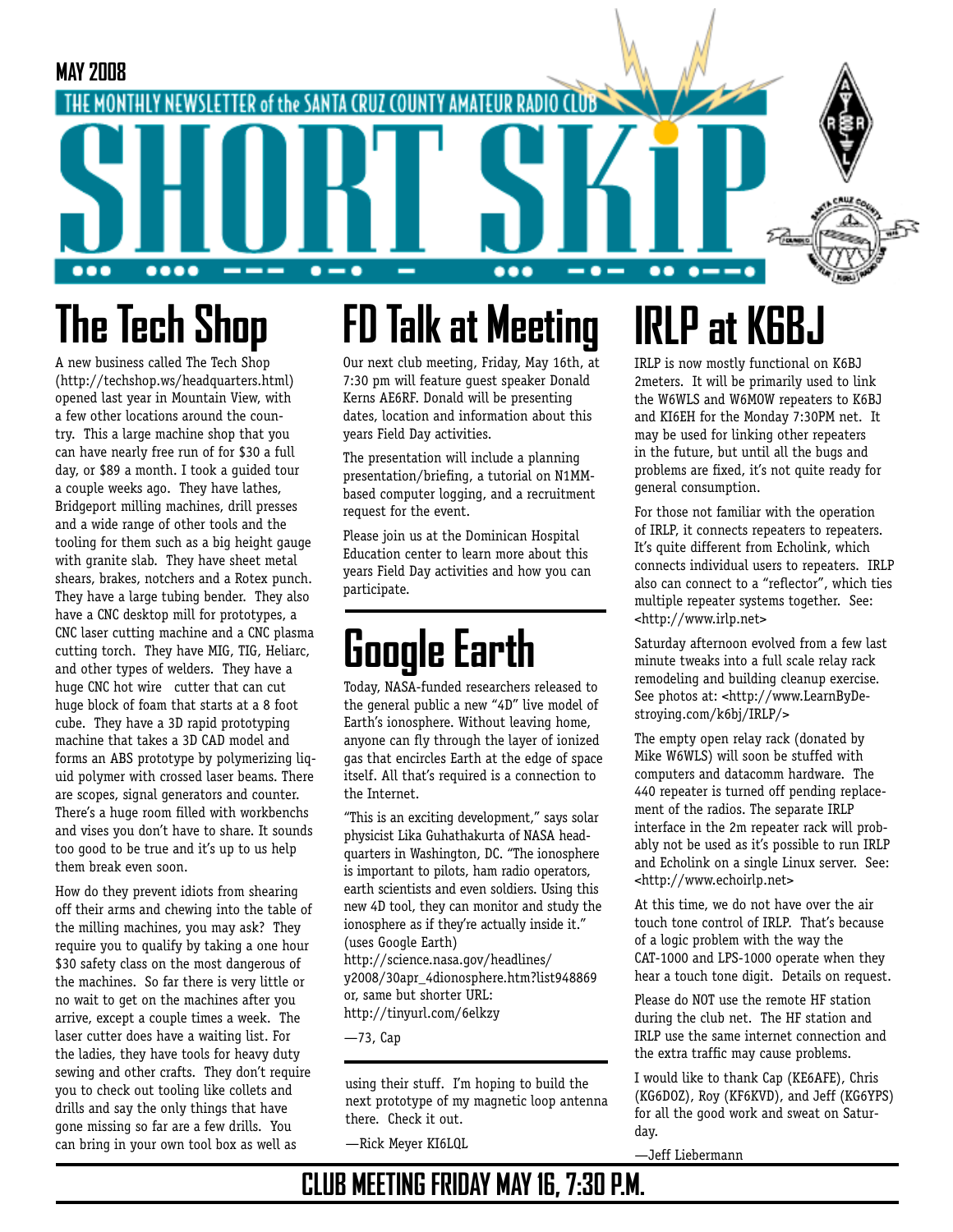

# **The Tech Shop**

A new business called The Tech Shop (http://techshop.ws/headquarters.html) opened last year in Mountain View, with a few other locations around the country. This a large machine shop that you can have nearly free run of for \$30 a full day, or \$89 a month. I took a guided tour a couple weeks ago. They have lathes, Bridgeport milling machines, drill presses and a wide range of other tools and the tooling for them such as a big height gauge with granite slab. They have sheet metal shears, brakes, notchers and a Rotex punch. They have a large tubing bender. They also have a CNC desktop mill for prototypes, a CNC laser cutting machine and a CNC plasma cutting torch. They have MIG, TIG, Heliarc, and other types of welders. They have a huge CNC hot wire cutter that can cut huge block of foam that starts at a 8 foot cube. They have a 3D rapid prototyping machine that takes a 3D CAD model and forms an ABS prototype by polymerizing liquid polymer with crossed laser beams. There are scopes, signal generators and counter. There's a huge room filled with workbenchs and vises you don't have to share. It sounds too good to be true and it's up to us help them break even soon.

How do they prevent idiots from shearing off their arms and chewing into the table of the milling machines, you may ask? They require you to qualify by taking a one hour \$30 safety class on the most dangerous of the machines. So far there is very little or no wait to get on the machines after you arrive, except a couple times a week. The laser cutter does have a waiting list. For the ladies, they have tools for heavy duty sewing and other crafts. They don't require you to check out tooling like collets and drills and say the only things that have gone missing so far are a few drills. You can bring in your own tool box as well as

# **FD Talk at Meeting**

Our next club meeting, Friday, May 16th, at 7:30 pm will feature guest speaker Donald Kerns AE6RF. Donald will be presenting dates, location and information about this years Field Day activities.

The presentation will include a planning presentation/briefing, a tutorial on N1MMbased computer logging, and a recruitment request for the event.

Please join us at the Dominican Hospital Education center to learn more about this years Field Day activities and how you can participate.

# **Google Earth**

Today, NASA-funded researchers released to the general public a new "4D" live model of Earth's ionosphere. Without leaving home, anyone can fly through the layer of ionized gas that encircles Earth at the edge of space itself. All that's required is a connection to the Internet.

"This is an exciting development," says solar physicist Lika Guhathakurta of NASA headquarters in Washington, DC. "The ionosphere is important to pilots, ham radio operators, earth scientists and even soldiers. Using this new 4D tool, they can monitor and study the ionosphere as if they're actually inside it." (uses Google Earth)

http://science.nasa.gov/headlines/ y2008/30apr\_4dionosphere.htm?list948869 or, same but shorter URL: http://tinyurl.com/6elkzy

—73, Cap

using their stuff. I'm hoping to build the next prototype of my magnetic loop antenna there. Check it out.

—Rick Meyer KI6LQL

# **IRLP at K6BJ**

IRLP is now mostly functional on K6BJ 2meters. It will be primarily used to link the W6WLS and W6MOW repeaters to K6BJ and KI6EH for the Monday 7:30PM net. It may be used for linking other repeaters in the future, but until all the bugs and problems are fixed, it's not quite ready for general consumption.

For those not familiar with the operation of IRLP, it connects repeaters to repeaters. It's quite different from Echolink, which connects individual users to repeaters. IRLP also can connect to a "reflector", which ties multiple repeater systems together. See: <http://www.irlp.net>

Saturday afternoon evolved from a few last minute tweaks into a full scale relay rack remodeling and building cleanup exercise. See photos at: <http://www.LearnByDestroying.com/k6bj/IRLP/>

The empty open relay rack (donated by Mike W6WLS) will soon be stuffed with computers and datacomm hardware. The 440 repeater is turned off pending replacement of the radios. The separate IRLP interface in the 2m repeater rack will probably not be used as it's possible to run IRLP and Echolink on a single Linux server. See: <http://www.echoirlp.net>

At this time, we do not have over the air touch tone control of IRLP. That's because of a logic problem with the way the CAT-1000 and LPS-1000 operate when they hear a touch tone digit. Details on request.

Please do NOT use the remote HF station during the club net. The HF station and IRLP use the same internet connection and the extra traffic may cause problems.

I would like to thank Cap (KE6AFE), Chris (KG6DOZ), Roy (KF6KVD), and Jeff (KG6YPS) for all the good work and sweat on Saturday.

—Jeff Liebermann

### **CLUB MEETING FRIDAY MAY 16, 7:30 P.M.**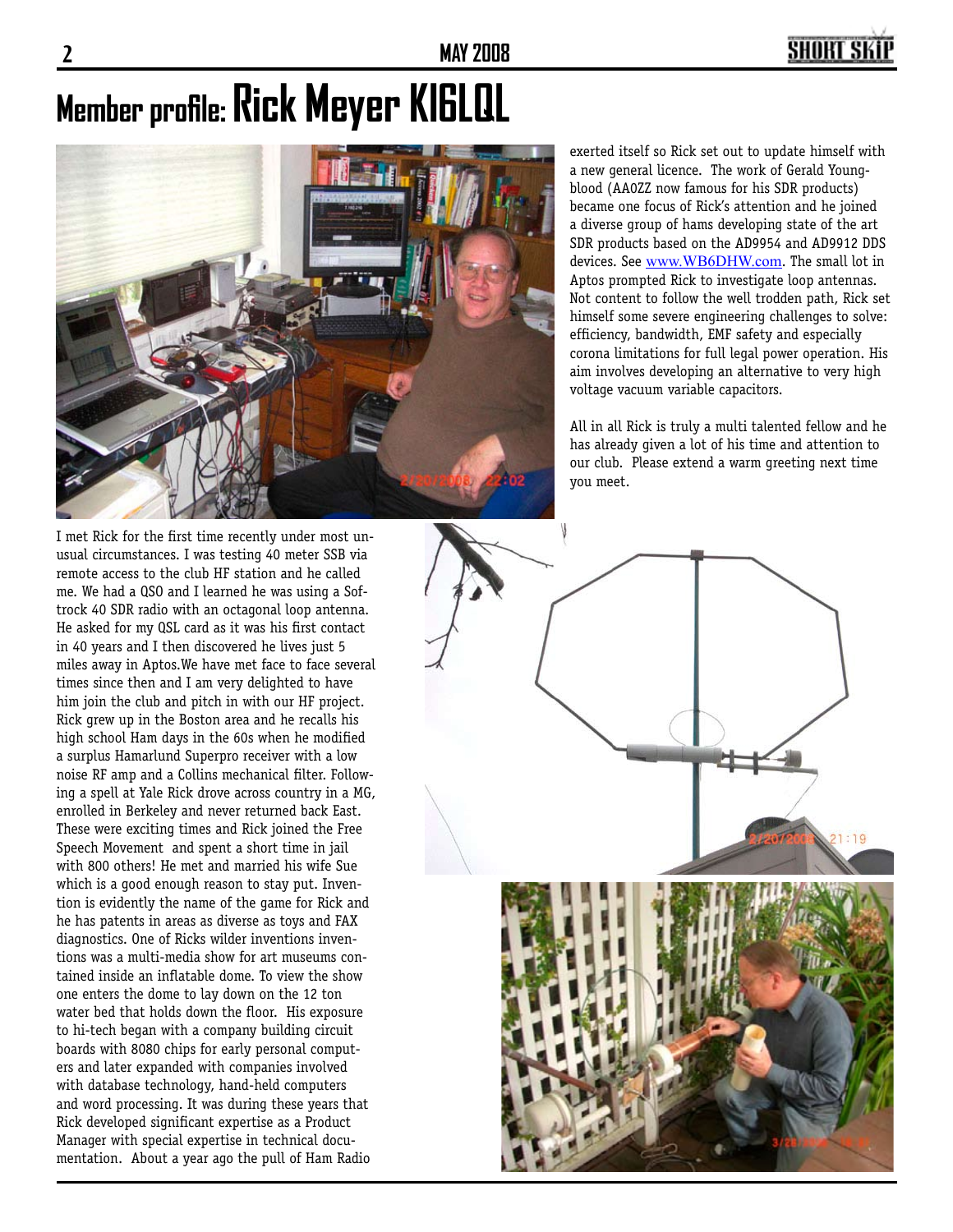# **Member profile: Rick Meyer KI6LQL**



I met Rick for the first time recently under most unusual circumstances. I was testing 40 meter SSB via remote access to the club HF station and he called me. We had a QSO and I learned he was using a Softrock 40 SDR radio with an octagonal loop antenna. He asked for my QSL card as it was his first contact in 40 years and I then discovered he lives just 5 miles away in Aptos.We have met face to face several times since then and I am very delighted to have him join the club and pitch in with our HF project. Rick grew up in the Boston area and he recalls his high school Ham days in the 60s when he modified a surplus Hamarlund Superpro receiver with a low noise RF amp and a Collins mechanical filter. Following a spell at Yale Rick drove across country in a MG, enrolled in Berkeley and never returned back East. These were exciting times and Rick joined the Free Speech Movement and spent a short time in jail with 800 others! He met and married his wife Sue which is a good enough reason to stay put. Invention is evidently the name of the game for Rick and he has patents in areas as diverse as toys and FAX diagnostics. One of Ricks wilder inventions inventions was a multi-media show for art museums contained inside an inflatable dome. To view the show one enters the dome to lay down on the 12 ton water bed that holds down the floor. His exposure to hi-tech began with a company building circuit boards with 8080 chips for early personal computers and later expanded with companies involved with database technology, hand-held computers and word processing. It was during these years that Rick developed significant expertise as a Product Manager with special expertise in technical documentation. About a year ago the pull of Ham Radio

exerted itself so Rick set out to update himself with a new general licence. The work of Gerald Youngblood (AA0ZZ now famous for his SDR products) became one focus of Rick's attention and he joined a diverse group of hams developing state of the art SDR products based on the AD9954 and AD9912 DDS devices. See www.WB6DHW.com. The small lot in Aptos prompted Rick to investigate loop antennas. Not content to follow the well trodden path, Rick set himself some severe engineering challenges to solve: efficiency, bandwidth, EMF safety and especially corona limitations for full legal power operation. His aim involves developing an alternative to very high voltage vacuum variable capacitors.

All in all Rick is truly a multi talented fellow and he has already given a lot of his time and attention to our club. Please extend a warm greeting next time you meet.

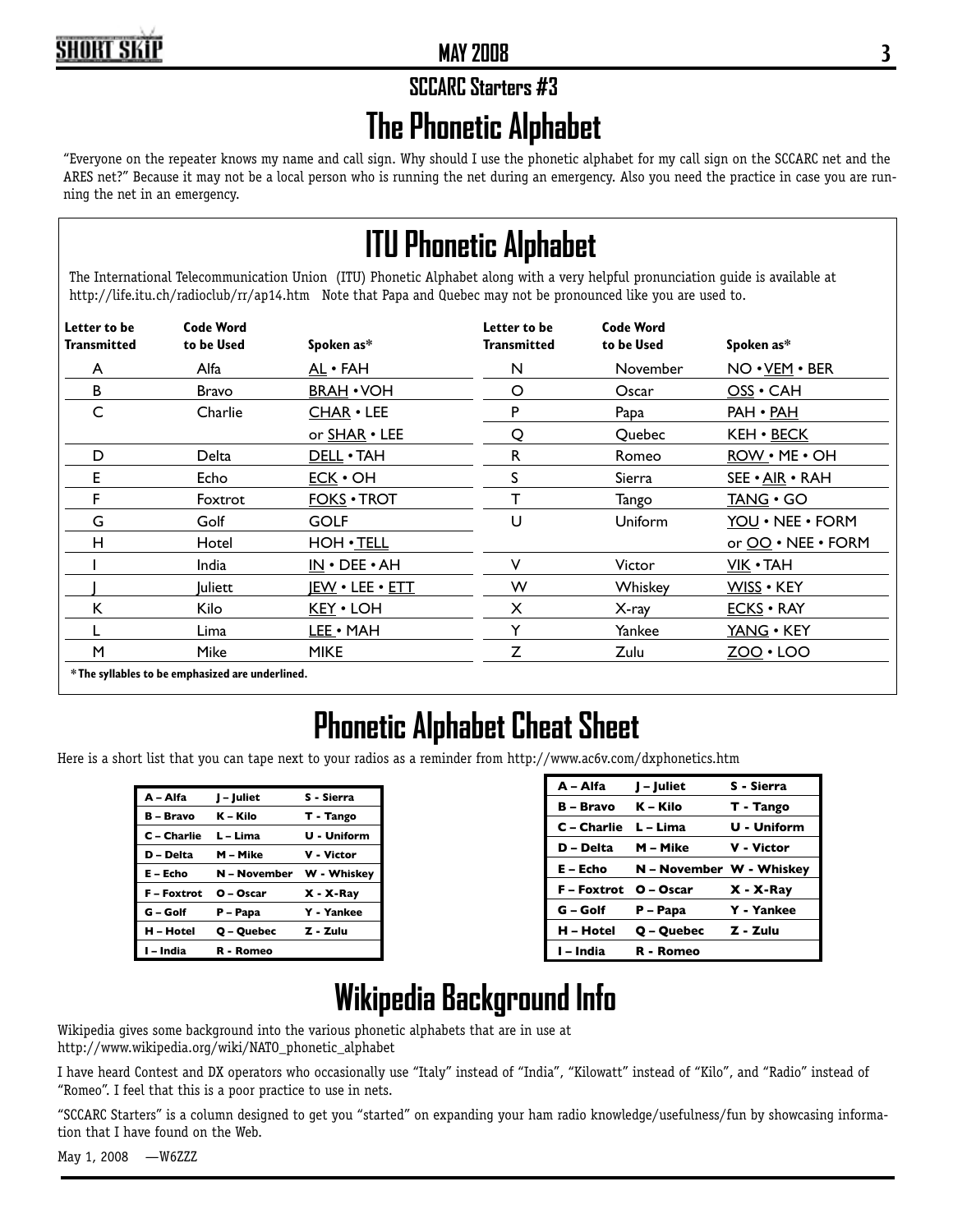#### **SCCARC Starters #3**

# **The Phonetic Alphabet**

"Everyone on the repeater knows my name and call sign. Why should I use the phonetic alphabet for my call sign on the SCCARC net and the ARES net?" Because it may not be a local person who is running the net during an emergency. Also you need the practice in case you are running the net in an emergency.

# **ITU Phonetic Alphabet**

The International Telecommunication Union (ITU) Phonetic Alphabet along with a very helpful pronunciation guide is available at http://life.itu.ch/radioclub/rr/ap14.htm Note that Papa and Quebec may not be pronounced like you are used to.

| Letter to be<br><b>Transmitted</b> | <b>Code Word</b><br>to be Used                   | Spoken as*                | Letter to be<br><b>Transmitted</b> | <b>Code Word</b><br>to be Used | Spoken as*              |
|------------------------------------|--------------------------------------------------|---------------------------|------------------------------------|--------------------------------|-------------------------|
| A                                  | Alfa                                             | AL • FAH                  | N                                  | <b>November</b>                | NO • VEM • BER          |
| B                                  | Bravo                                            | <b>BRAH • VOH</b>         | O                                  | Oscar                          | $OSS \cdot CAH$         |
| C                                  | Charlie                                          | $CHAR \cdot LEE$          | P                                  | Papa                           | PAH • PAH               |
|                                    |                                                  | or SHAR • LEE             | Q                                  | Quebec                         | KEH • BECK              |
| D                                  | Delta                                            | DELL • TAH                | R                                  | Romeo                          | $ROW \cdot ME \cdot OH$ |
| E                                  | Echo                                             | $ECK \cdot OH$            | S                                  | Sierra                         | SEE • <u>AIR</u> • RAH  |
| F                                  | Foxtrot                                          | <b>FOKS • TROT</b>        |                                    | Tango                          | TANG • GO               |
| G                                  | Golf                                             | <b>GOLF</b>               | U                                  | <b>Uniform</b>                 | YOU • NEE • FORM        |
| H                                  | Hotel                                            | HOH • TELL                |                                    |                                | or OO . NEE . FORM      |
|                                    | India                                            | $IN \cdot DEE \cdot AH$   | v                                  | Victor                         | <b>VIK • TAH</b>        |
|                                    | <b>Juliett</b>                                   | $IEW \cdot LEE \cdot ETT$ | W                                  | Whiskey                        | WISS • KEY              |
| Κ                                  | Kilo                                             | KEY • LOH                 | X                                  | X-ray                          | $ECKS \cdot RAY$        |
|                                    | Lima                                             | LEE • MAH                 | v                                  | Yankee                         | YANG • KEY              |
| M                                  | Mike                                             | <b>MIKE</b>               | Z                                  | Zulu                           | $ZOO \cdot LOO$         |
|                                    | * The syllables to be emphasized are underlined. |                           |                                    |                                |                         |

## **Phonetic Alphabet Cheat Sheet**

Here is a short list that you can tape next to your radios as a reminder from http://www.ac6v.com/dxphonetics.htm

| A - Alfa           | J – Juliet   | S - Sierra  |
|--------------------|--------------|-------------|
| <b>B</b> - Bravo   | K – Kilo     | T - Tango   |
| C - Charlie        | L – Lima     | U - Uniform |
| D - Delta          | M – Mike     | V - Victor  |
| E – Echo           | N - November | W - Whiskey |
| <b>F</b> – Foxtrot | O – Oscar    | $X - X-Ray$ |
| G – Golf           | P – Papa     | Y - Yankee  |
| H - Hotel          | Q - Quebec   | Z - Zulu    |
| I – India          | R - Romeo    |             |

| A - Alfa         | J – Juliet               | S - Sierra   |
|------------------|--------------------------|--------------|
| <b>B</b> – Bravo | K – Kilo                 | T - Tango    |
| C – Charlie      | L – Lima                 | U - Uniform  |
| D - Delta        | M – Mike                 | V - Victor   |
| E – Echo         | N - November W - Whiskey |              |
| F - Foxtrot      | O - Oscar                | $X - X$ -Ray |
| G – Golf         | P – Papa                 | Y - Yankee   |
| H – Hotel        | Q – Quebec               | Z - Zulu     |
| I – India        | R - Romeo                |              |

## **Wikipedia Background Info**

Wikipedia gives some background into the various phonetic alphabets that are in use at http://www.wikipedia.org/wiki/NATO\_phonetic\_alphabet

I have heard Contest and DX operators who occasionally use "Italy" instead of "India", "Kilowatt" instead of "Kilo", and "Radio" instead of "Romeo". I feel that this is a poor practice to use in nets.

"SCCARC Starters" is a column designed to get you "started" on expanding your ham radio knowledge/usefulness/fun by showcasing information that I have found on the Web.

May 1, 2008 —W6ZZZ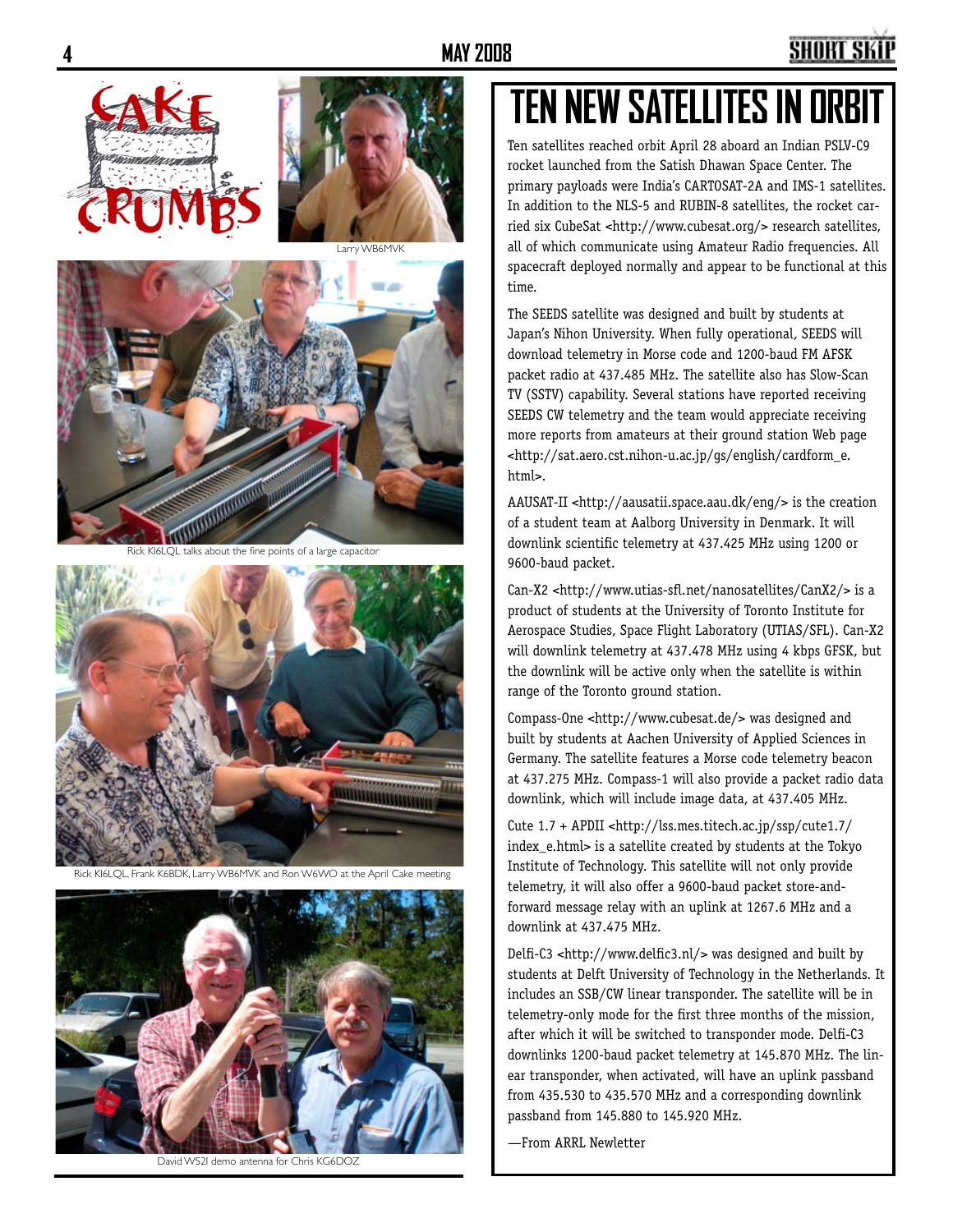



Larry WB6MVK



Rick KI6LQL talks about the fine points of a large capacitor



Rick KI6LQL, Frank K6BDK, Larry WB6MVK and Ron W6WO at the April Cak



David WS2I demo antenna for Chris KG6DOZ

# **TEN NEW SATELLITES IN ORB**

SHORT SI

Ten satellites reached orbit April 28 aboard an Indian PSLV-C9 rocket launched from the Satish Dhawan Space Center. The primary payloads were India's CARTOSAT-2A and IMS-1 satellites. In addition to the NLS-5 and RUBIN-8 satellites, the rocket carried six CubeSat <http://www.cubesat.org/> research satellites, all of which communicate using Amateur Radio frequencies. All spacecraft deployed normally and appear to be functional at this time.

The SEEDS satellite was designed and built by students at Japan's Nihon University. When fully operational, SEEDS will download telemetry in Morse code and 1200-baud FM AFSK packet radio at 437.485 MHz. The satellite also has Slow-Scan TV (SSTV) capability. Several stations have reported receiving SEEDS CW telemetry and the team would appreciate receiving more reports from amateurs at their ground station Web page <http://sat.aero.cst.nihon-u.ac.jp/gs/english/cardform\_e. html>.

AAUSAT-II <http://aausatii.space.aau.dk/eng/> is the creation of a student team at Aalborg University in Denmark. It will downlink scientific telemetry at 437.425 MHz using 1200 or 9600-baud packet.

Can-X2 <http://www.utias-sfl.net/nanosatellites/CanX2/> is a product of students at the University of Toronto Institute for Aerospace Studies, Space Flight Laboratory (UTIAS/SFL). Can-X2 will downlink telemetry at 437.478 MHz using 4 kbps GFSK, but the downlink will be active only when the satellite is within range of the Toronto ground station.

Compass-One <http://www.cubesat.de/> was designed and built by students at Aachen University of Applied Sciences in Germany. The satellite features a Morse code telemetry beacon at 437.275 MHz. Compass-1 will also provide a packet radio data downlink, which will include image data, at 437.405 MHz.

Cute 1.7 + APDII <http://lss.mes.titech.ac.jp/ssp/cute1.7/ index\_e.html> is a satellite created by students at the Tokyo Institute of Technology. This satellite will not only provide telemetry, it will also offer a 9600-baud packet store-andforward message relay with an uplink at 1267.6 MHz and a downlink at 437.475 MHz.

Delfi-C3 <http://www.delfic3.nl/> was designed and built by students at Delft University of Technology in the Netherlands. It includes an SSB/CW linear transponder. The satellite will be in telemetry-only mode for the first three months of the mission, after which it will be switched to transponder mode. Delfi-C3 downlinks 1200-baud packet telemetry at 145.870 MHz. The linear transponder, when activated, will have an uplink passband from 435.530 to 435.570 MHz and a corresponding downlink passband from 145.880 to 145.920 MHz.

—From ARRL Newletter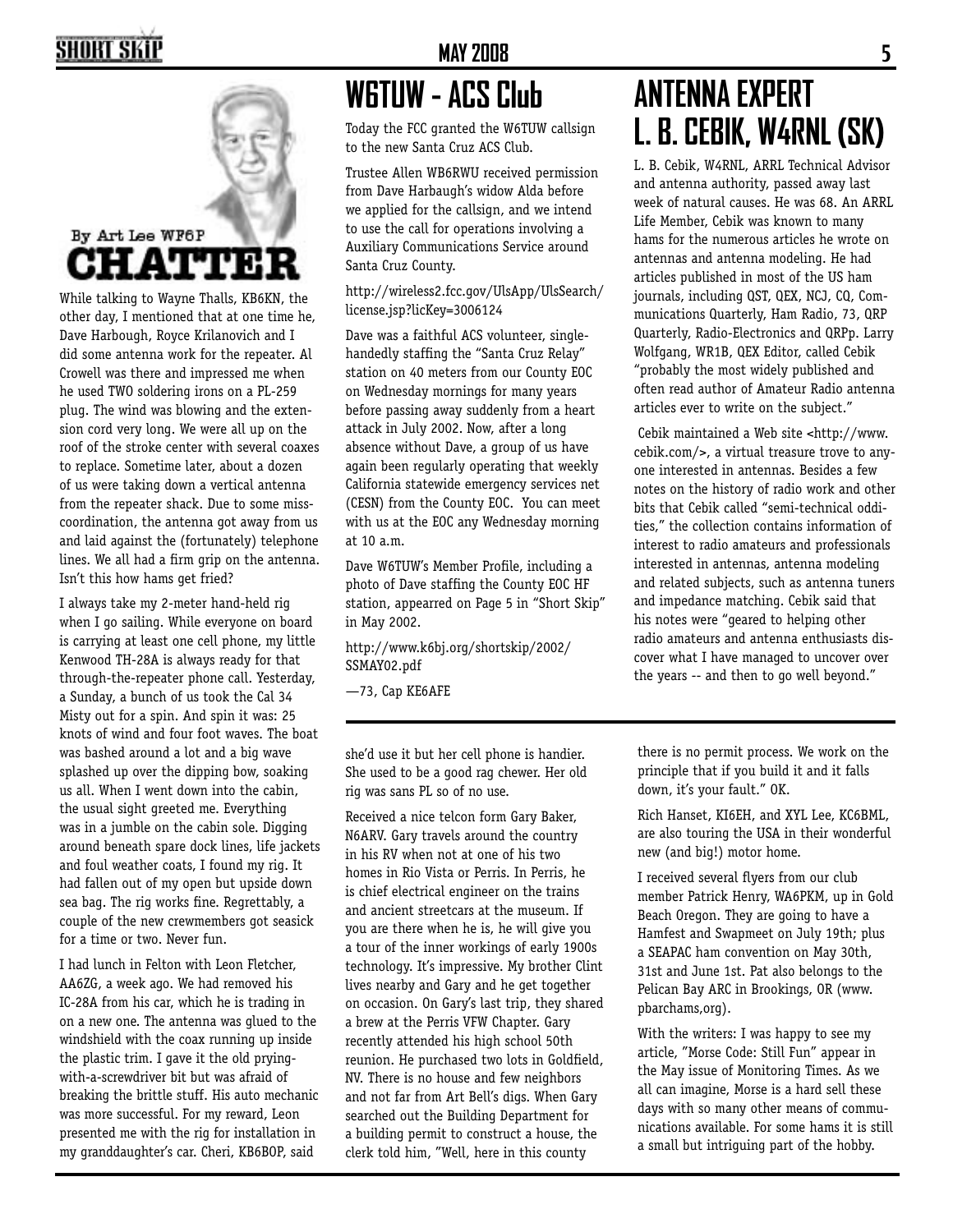## SHORT SKI



While talking to Wayne Thalls, KB6KN, the other day, I mentioned that at one time he, Dave Harbough, Royce Krilanovich and I did some antenna work for the repeater. Al Crowell was there and impressed me when he used TWO soldering irons on a PL-259 plug. The wind was blowing and the extension cord very long. We were all up on the roof of the stroke center with several coaxes to replace. Sometime later, about a dozen of us were taking down a vertical antenna from the repeater shack. Due to some misscoordination, the antenna got away from us and laid against the (fortunately) telephone lines. We all had a firm grip on the antenna. Isn't this how hams get fried?

I always take my 2-meter hand-held rig when I go sailing. While everyone on board is carrying at least one cell phone, my little Kenwood TH-28A is always ready for that through-the-repeater phone call. Yesterday, a Sunday, a bunch of us took the Cal 34 Misty out for a spin. And spin it was: 25 knots of wind and four foot waves. The boat was bashed around a lot and a big wave splashed up over the dipping bow, soaking us all. When I went down into the cabin, the usual sight greeted me. Everything was in a jumble on the cabin sole. Digging around beneath spare dock lines, life jackets and foul weather coats, I found my rig. It had fallen out of my open but upside down sea bag. The rig works fine. Regrettably, a couple of the new crewmembers got seasick for a time or two. Never fun.

I had lunch in Felton with Leon Fletcher, AA6ZG, a week ago. We had removed his IC-28A from his car, which he is trading in on a new one. The antenna was glued to the windshield with the coax running up inside the plastic trim. I gave it the old pryingwith-a-screwdriver bit but was afraid of breaking the brittle stuff. His auto mechanic was more successful. For my reward, Leon presented me with the rig for installation in my granddaughter's car. Cheri, KB6BOP, said

## **W6TUW - ACS Club**

Today the FCC granted the W6TUW callsign to the new Santa Cruz ACS Club.

Trustee Allen WB6RWU received permission from Dave Harbaugh's widow Alda before we applied for the callsign, and we intend to use the call for operations involving a Auxiliary Communications Service around Santa Cruz County.

http://wireless2.fcc.gov/UlsApp/UlsSearch/ license.jsp?licKey=3006124

Dave was a faithful ACS volunteer, singlehandedly staffing the "Santa Cruz Relay" station on 40 meters from our County EOC on Wednesday mornings for many years before passing away suddenly from a heart attack in July 2002. Now, after a long absence without Dave, a group of us have again been regularly operating that weekly California statewide emergency services net (CESN) from the County EOC. You can meet with us at the EOC any Wednesday morning at 10 a.m.

Dave W6TUW's Member Profile, including a photo of Dave staffing the County EOC HF station, appearred on Page 5 in "Short Skip" in May 2002.

http://www.k6bj.org/shortskip/2002/ SSMAY02.pdf

—73, Cap KE6AFE

she'd use it but her cell phone is handier. She used to be a good rag chewer. Her old rig was sans PL so of no use.

Received a nice telcon form Gary Baker, N6ARV. Gary travels around the country in his RV when not at one of his two homes in Rio Vista or Perris. In Perris, he is chief electrical engineer on the trains and ancient streetcars at the museum. If you are there when he is, he will give you a tour of the inner workings of early 1900s technology. It's impressive. My brother Clint lives nearby and Gary and he get together on occasion. On Gary's last trip, they shared a brew at the Perris VFW Chapter. Gary recently attended his high school 50th reunion. He purchased two lots in Goldfield, NV. There is no house and few neighbors and not far from Art Bell's digs. When Gary searched out the Building Department for a building permit to construct a house, the clerk told him, "Well, here in this county

## **ANTENNA EXPERT L. B. CEBIK, W4RNL (SK)**

L. B. Cebik, W4RNL, ARRL Technical Advisor and antenna authority, passed away last week of natural causes. He was 68. An ARRL Life Member, Cebik was known to many hams for the numerous articles he wrote on antennas and antenna modeling. He had articles published in most of the US ham journals, including QST, QEX, NCJ, CQ, Communications Quarterly, Ham Radio, 73, QRP Quarterly, Radio-Electronics and QRPp. Larry Wolfgang, WR1B, QEX Editor, called Cebik "probably the most widely published and often read author of Amateur Radio antenna articles ever to write on the subject."

 Cebik maintained a Web site <http://www. cebik.com/>, a virtual treasure trove to anyone interested in antennas. Besides a few notes on the history of radio work and other bits that Cebik called "semi-technical oddities," the collection contains information of interest to radio amateurs and professionals interested in antennas, antenna modeling and related subjects, such as antenna tuners and impedance matching. Cebik said that his notes were "geared to helping other radio amateurs and antenna enthusiasts discover what I have managed to uncover over the years -- and then to go well beyond."

there is no permit process. We work on the principle that if you build it and it falls down, it's your fault." OK.

Rich Hanset, KI6EH, and XYL Lee, KC6BML, are also touring the USA in their wonderful new (and big!) motor home.

I received several flyers from our club member Patrick Henry, WA6PKM, up in Gold Beach Oregon. They are going to have a Hamfest and Swapmeet on July 19th; plus a SEAPAC ham convention on May 30th, 31st and June 1st. Pat also belongs to the Pelican Bay ARC in Brookings, OR (www. pbarchams,org).

With the writers: I was happy to see my article, "Morse Code: Still Fun" appear in the May issue of Monitoring Times. As we all can imagine, Morse is a hard sell these days with so many other means of communications available. For some hams it is still a small but intriguing part of the hobby.